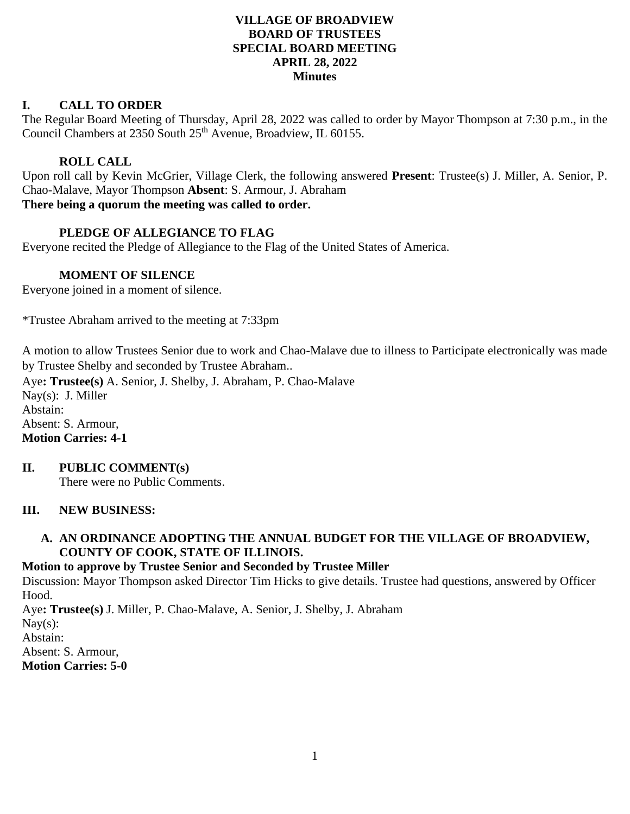## **VILLAGE OF BROADVIEW BOARD OF TRUSTEES SPECIAL BOARD MEETING APRIL 28, 2022 Minutes**

## **I. CALL TO ORDER**

The Regular Board Meeting of Thursday, April 28, 2022 was called to order by Mayor Thompson at 7:30 p.m., in the Council Chambers at 2350 South 25<sup>th</sup> Avenue, Broadview, IL 60155.

## **ROLL CALL**

Upon roll call by Kevin McGrier, Village Clerk, the following answered **Present**: Trustee(s) J. Miller, A. Senior, P. Chao-Malave, Mayor Thompson **Absent**: S. Armour, J. Abraham **There being a quorum the meeting was called to order.**

# **PLEDGE OF ALLEGIANCE TO FLAG**

Everyone recited the Pledge of Allegiance to the Flag of the United States of America.

## **MOMENT OF SILENCE**

Everyone joined in a moment of silence.

\*Trustee Abraham arrived to the meeting at 7:33pm

A motion to allow Trustees Senior due to work and Chao-Malave due to illness to Participate electronically was made by Trustee Shelby and seconded by Trustee Abraham..

Aye**: Trustee(s)** A. Senior, J. Shelby, J. Abraham, P. Chao-Malave Nay(s): J. Miller Abstain: Absent: S. Armour, **Motion Carries: 4-1**

## **II. PUBLIC COMMENT(s)**

There were no Public Comments.

## **III. NEW BUSINESS:**

## **A. AN ORDINANCE ADOPTING THE ANNUAL BUDGET FOR THE VILLAGE OF BROADVIEW, COUNTY OF COOK, STATE OF ILLINOIS.**

#### **Motion to approve by Trustee Senior and Seconded by Trustee Miller**

Discussion: Mayor Thompson asked Director Tim Hicks to give details. Trustee had questions, answered by Officer Hood.

Aye**: Trustee(s)** J. Miller, P. Chao-Malave, A. Senior, J. Shelby, J. Abraham Nay $(s)$ : Abstain: Absent: S. Armour, **Motion Carries: 5-0**